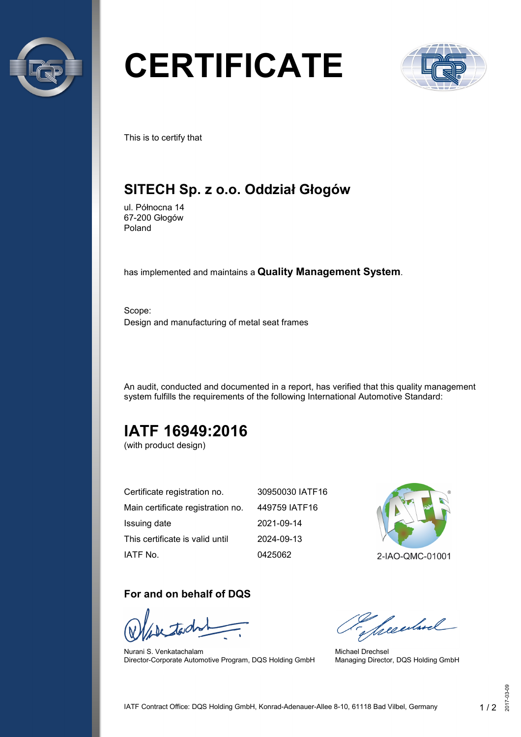

# **CERTIFICATE**



This is to certify that

### **SITECH Sp. z o.o. Oddział Głogów**

ul. Północna 14 67-200 Głogów Poland

has implemented and maintains a **Quality Management System**.

Scope: Design and manufacturing of metal seat frames

An audit, conducted and documented in a report, has verified that this quality management system fulfills the requirements of the following International Automotive Standard:

## **IATF 16949:2016**

(with product design)

| Certificate registration no.      | 30950030 IATF16 |
|-----------------------------------|-----------------|
| Main certificate registration no. | 449759 IATF16   |
| Issuing date                      | 2021-09-14      |
| This certificate is valid until   | 2024-09-13      |
| IATF No.                          | 0425062         |

#### **For and on behalf of DQS**

Nurani S. Venkatachalam Director-Corporate Automotive Program, DQS Holding GmbH



2-IAO-QMC-01001

Secularel

Michael Drechsel Managing Director, DQS Holding GmbH